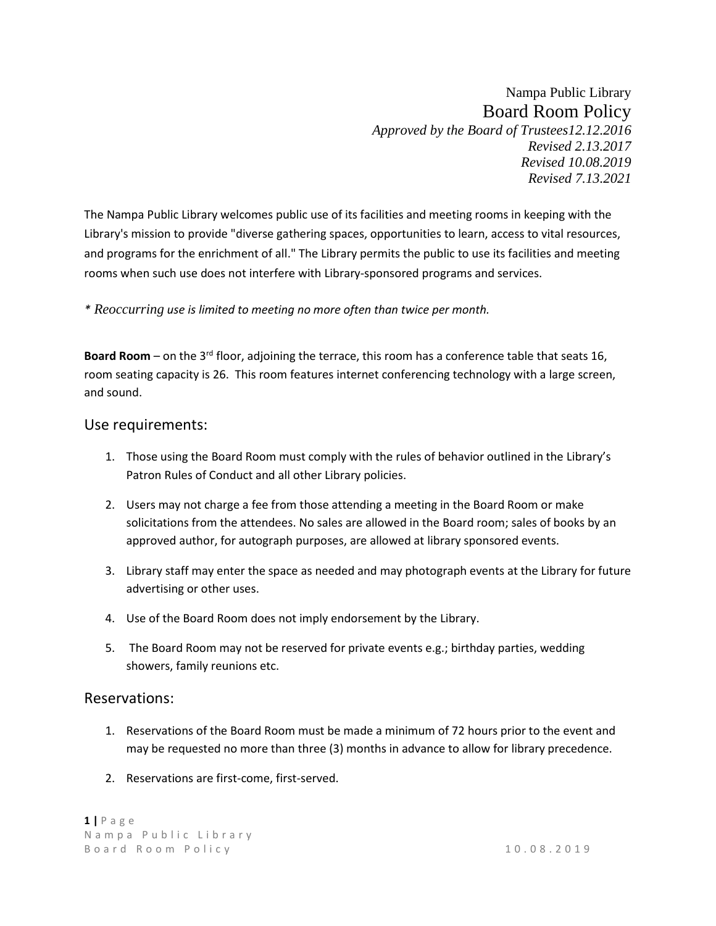Nampa Public Library Board Room Policy *Approved by the Board of Trustees12.12.2016 Revised 2.13.2017 Revised 10.08.2019 Revised 7.13.2021* 

The Nampa Public Library welcomes public use of its facilities and meeting rooms in keeping with the Library's mission to provide "diverse gathering spaces, opportunities to learn, access to vital resources, and programs for the enrichment of all." The Library permits the public to use its facilities and meeting rooms when such use does not interfere with Library-sponsored programs and services.

### *\* Reoccurring use is limited to meeting no more often than twice per month.*

**Board Room** – on the 3rd floor, adjoining the terrace, this room has a conference table that seats 16, room seating capacity is 26. This room features internet conferencing technology with a large screen, and sound.

### Use requirements:

- 1. Those using the Board Room must comply with the rules of behavior outlined in the Library's Patron Rules of Conduct and all other Library policies.
- 2. Users may not charge a fee from those attending a meeting in the Board Room or make solicitations from the attendees. No sales are allowed in the Board room; sales of books by an approved author, for autograph purposes, are allowed at library sponsored events.
- 3. Library staff may enter the space as needed and may photograph events at the Library for future advertising or other uses.
- 4. Use of the Board Room does not imply endorsement by the Library.
- 5. The Board Room may not be reserved for private events e.g.; birthday parties, wedding showers, family reunions etc.

## Reservations:

- 1. Reservations of the Board Room must be made a minimum of 72 hours prior to the event and may be requested no more than three (3) months in advance to allow for library precedence.
- 2. Reservations are first-come, first-served.